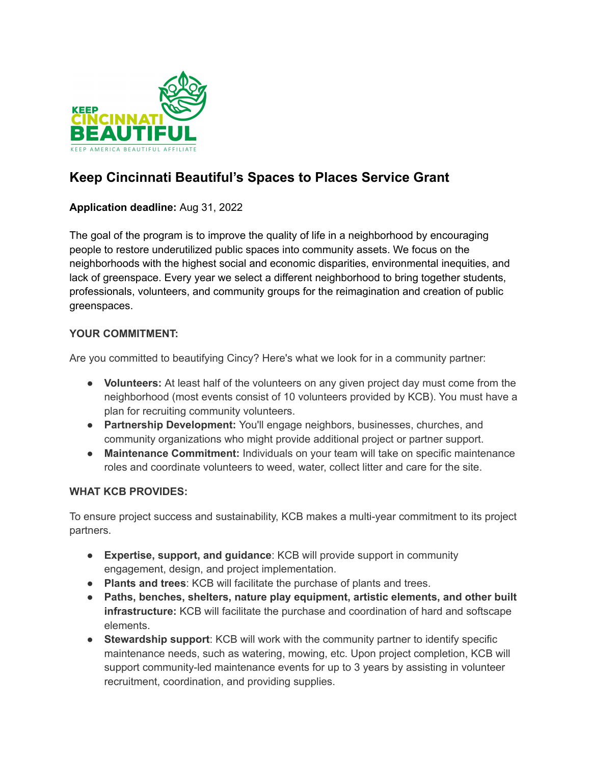

# **Keep Cincinnati Beautiful's Spaces to Places Service Grant**

## **Application deadline:** Aug 31, 2022

The goal of the program is to improve the quality of life in a neighborhood by encouraging people to restore underutilized public spaces into community assets. We focus on the neighborhoods with the highest social and economic disparities, environmental inequities, and lack of greenspace. Every year we select a different neighborhood to bring together students, professionals, volunteers, and community groups for the reimagination and creation of public greenspaces.

## **YOUR COMMITMENT:**

Are you committed to beautifying Cincy? Here's what we look for in a community partner:

- **Volunteers:** At least half of the volunteers on any given project day must come from the neighborhood (most events consist of 10 volunteers provided by KCB). You must have a plan for recruiting community volunteers.
- **Partnership Development:** You'll engage neighbors, businesses, churches, and community organizations who might provide additional project or partner support.
- **Maintenance Commitment:** Individuals on your team will take on specific maintenance roles and coordinate volunteers to weed, water, collect litter and care for the site.

#### **WHAT KCB PROVIDES:**

To ensure project success and sustainability, KCB makes a multi-year commitment to its project partners.

- **Expertise, support, and guidance**: KCB will provide support in community engagement, design, and project implementation.
- **Plants and trees**: KCB will facilitate the purchase of plants and trees.
- **Paths, benches, shelters, nature play equipment, artistic elements, and other built infrastructure:** KCB will facilitate the purchase and coordination of hard and softscape elements.
- **Stewardship support**: KCB will work with the community partner to identify specific maintenance needs, such as watering, mowing, etc. Upon project completion, KCB will support community-led maintenance events for up to 3 years by assisting in volunteer recruitment, coordination, and providing supplies.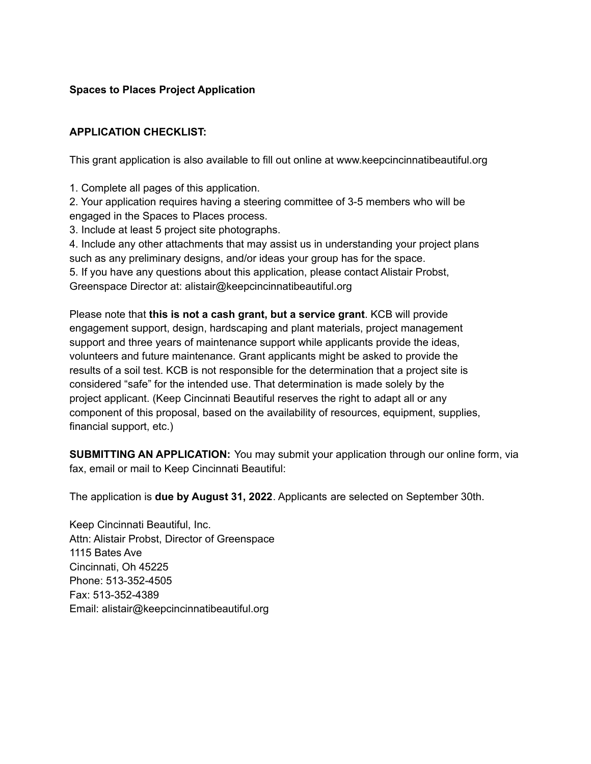## **Spaces to Places Project Application**

## **APPLICATION CHECKLIST:**

This grant application is also available to fill out online at www.keepcincinnatibeautiful.org

1. Complete all pages of this application.

2. Your application requires having a steering committee of 3-5 members who will be engaged in the Spaces to Places process.

3. Include at least 5 project site photographs.

4. Include any other attachments that may assist us in understanding your project plans such as any preliminary designs, and/or ideas your group has for the space.

5. If you have any questions about this application, please contact Alistair Probst, Greenspace Director at: alistair@keepcincinnatibeautiful.org

Please note that **this is not a cash grant, but a service grant**. KCB will provide engagement support, design, hardscaping and plant materials, project management support and three years of maintenance support while applicants provide the ideas, volunteers and future maintenance. Grant applicants might be asked to provide the results of a soil test. KCB is not responsible for the determination that a project site is considered "safe" for the intended use. That determination is made solely by the project applicant. (Keep Cincinnati Beautiful reserves the right to adapt all or any component of this proposal, based on the availability of resources, equipment, supplies, financial support, etc.)

**SUBMITTING AN APPLICATION:** You may submit your application through our online form, via fax, email or mail to Keep Cincinnati Beautiful:

The application is **due by August 31, 2022**. Applicants are selected on September 30th.

Keep Cincinnati Beautiful, Inc. Attn: Alistair Probst, Director of Greenspace 1115 Bates Ave Cincinnati, Oh 45225 Phone: 513-352-4505 Fax: 513-352-4389 Email: alistair@keepcincinnatibeautiful.org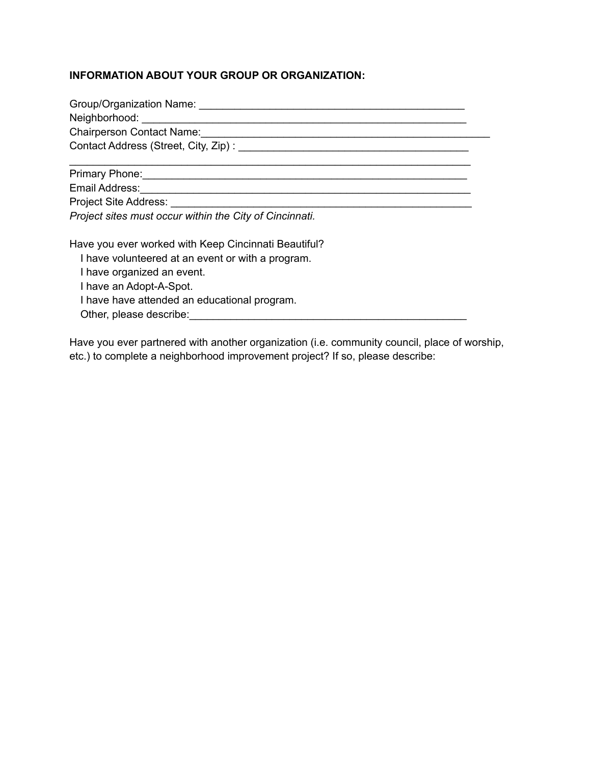## **INFORMATION ABOUT YOUR GROUP OR ORGANIZATION:**

| Chairperson Contact Name:<br><u> Chairperson Contact Name:</u> |  |  |
|----------------------------------------------------------------|--|--|
|                                                                |  |  |
|                                                                |  |  |
|                                                                |  |  |
|                                                                |  |  |
| Email Address: ________________                                |  |  |

*Project sites must occur within the City of Cincinnati.*

Have you ever worked with Keep Cincinnati Beautiful?

I have volunteered at an event or with a program.

I have organized an event.

I have an Adopt-A-Spot.

I have have attended an educational program.

Other, please describe:

Have you ever partnered with another organization (i.e. community council, place of worship, etc.) to complete a neighborhood improvement project? If so, please describe: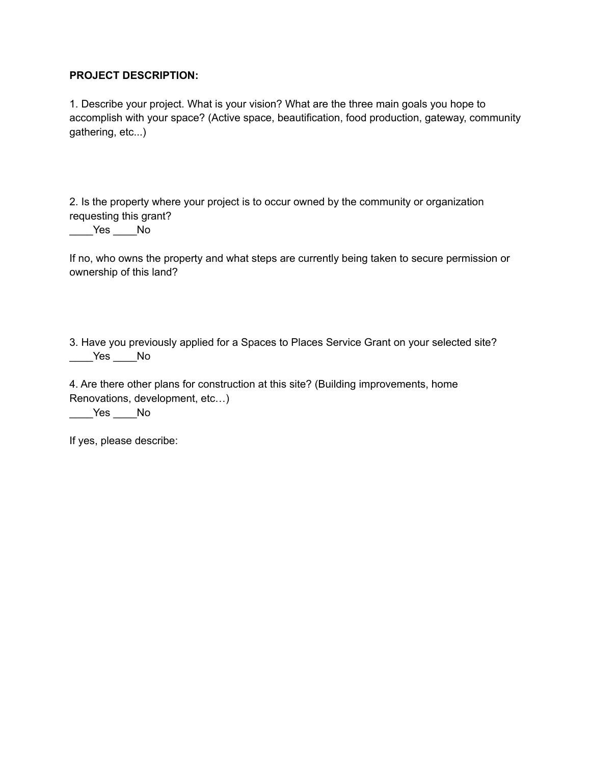#### **PROJECT DESCRIPTION:**

1. Describe your project. What is your vision? What are the three main goals you hope to accomplish with your space? (Active space, beautification, food production, gateway, community gathering, etc...)

2. Is the property where your project is to occur owned by the community or organization requesting this grant?

\_\_\_\_Yes \_\_\_\_No

If no, who owns the property and what steps are currently being taken to secure permission or ownership of this land?

3. Have you previously applied for a Spaces to Places Service Grant on your selected site? \_\_\_\_Yes \_\_\_\_No

4. Are there other plans for construction at this site? (Building improvements, home Renovations, development, etc…)

\_\_\_\_Yes \_\_\_\_No

If yes, please describe: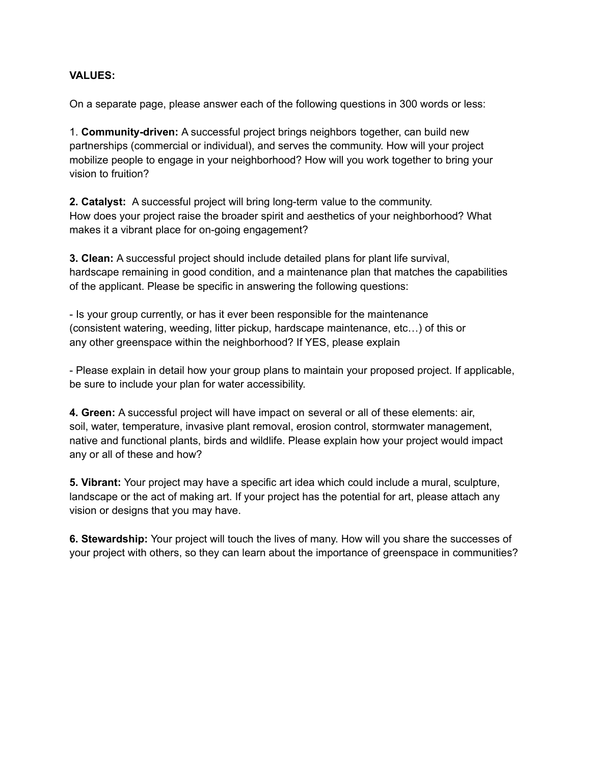#### **VALUES:**

On a separate page, please answer each of the following questions in 300 words or less:

1. **Community-driven:** A successful project brings neighbors together, can build new partnerships (commercial or individual), and serves the community. How will your project mobilize people to engage in your neighborhood? How will you work together to bring your vision to fruition?

**2. Catalyst:** A successful project will bring long-term value to the community. How does your project raise the broader spirit and aesthetics of your neighborhood? What makes it a vibrant place for on-going engagement?

**3. Clean:** A successful project should include detailed plans for plant life survival, hardscape remaining in good condition, and a maintenance plan that matches the capabilities of the applicant. Please be specific in answering the following questions:

- Is your group currently, or has it ever been responsible for the maintenance (consistent watering, weeding, litter pickup, hardscape maintenance, etc…) of this or any other greenspace within the neighborhood? If YES, please explain

- Please explain in detail how your group plans to maintain your proposed project. If applicable, be sure to include your plan for water accessibility.

**4. Green:** A successful project will have impact on several or all of these elements: air, soil, water, temperature, invasive plant removal, erosion control, stormwater management, native and functional plants, birds and wildlife. Please explain how your project would impact any or all of these and how?

**5. Vibrant:** Your project may have a specific art idea which could include a mural, sculpture, landscape or the act of making art. If your project has the potential for art, please attach any vision or designs that you may have.

**6. Stewardship:** Your project will touch the lives of many. How will you share the successes of your project with others, so they can learn about the importance of greenspace in communities?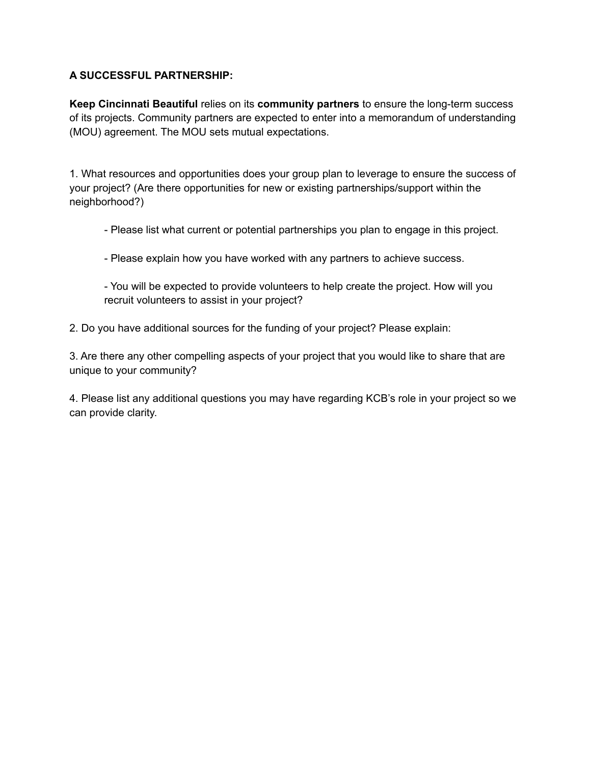#### **A SUCCESSFUL PARTNERSHIP:**

**Keep Cincinnati Beautiful** relies on its **community partners** to ensure the long-term success of its projects. Community partners are expected to enter into a memorandum of understanding (MOU) agreement. The MOU sets mutual expectations.

1. What resources and opportunities does your group plan to leverage to ensure the success of your project? (Are there opportunities for new or existing partnerships/support within the neighborhood?)

- Please list what current or potential partnerships you plan to engage in this project.
- Please explain how you have worked with any partners to achieve success.

- You will be expected to provide volunteers to help create the project. How will you recruit volunteers to assist in your project?

2. Do you have additional sources for the funding of your project? Please explain:

3. Are there any other compelling aspects of your project that you would like to share that are unique to your community?

4. Please list any additional questions you may have regarding KCB's role in your project so we can provide clarity.